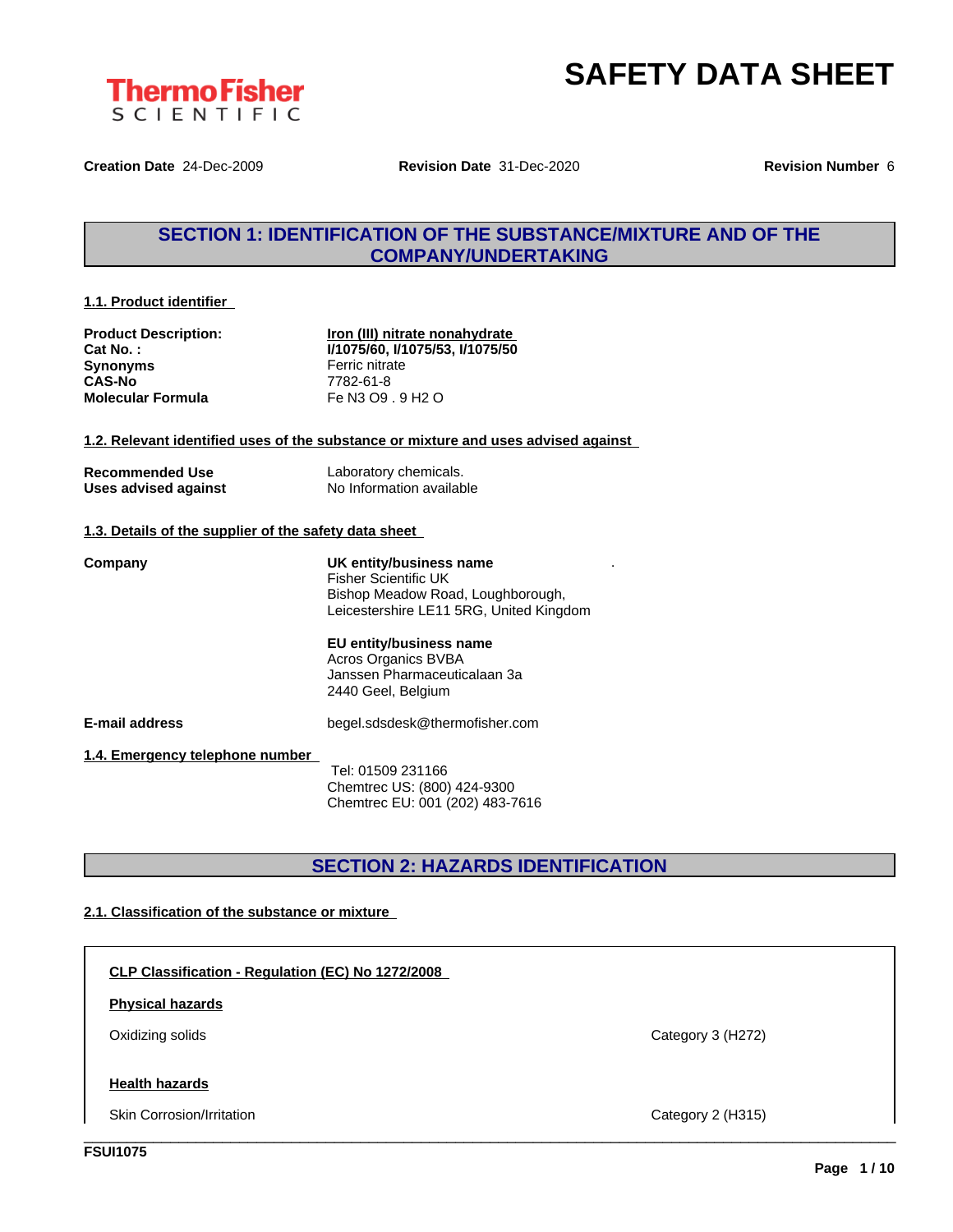

.



**Creation Date** 24-Dec-2009 **Revision Date** 31-Dec-2020 **Revision Number** 6

### **SECTION 1: IDENTIFICATION OF THE SUBSTANCE/MIXTURE AND OF THE COMPANY/UNDERTAKING**

#### **1.1. Product identifier**

**Synonyms** Ferric nitrate **CAS-No** 7782-61-8<br> **Molecular Formula** Fe N3 O9

**Product Description: Iron (III) nitrate nonahydrate Cat No. : I/1075/60, I/1075/53, I/1075/50 Molecular Formula** Fe N3 O9 . 9 H2 O

**1.2. Relevant identified uses of the substance or mixture and uses advised against**

| <b>Recommended Use</b> | Laboratory chemicals.    |
|------------------------|--------------------------|
| Uses advised against   | No Information available |

#### **1.3. Details of the supplier of the safety data sheet**

**Company UK entity/business name** Fisher Scientific UK Bishop Meadow Road, Loughborough, Leicestershire LE11 5RG, United Kingdom **EU entity/business name** Acros Organics BVBA Janssen Pharmaceuticalaan 3a 2440 Geel, Belgium

**E-mail address** begel.sdsdesk@thermofisher.com

**1.4. Emergency telephone number**

Tel: 01509 231166 Chemtrec US: (800) 424-9300 Chemtrec EU: 001 (202) 483-7616

### **SECTION 2: HAZARDS IDENTIFICATION**

#### **2.1. Classification of the substance or mixture**

**CLP Classification - Regulation (EC) No 1272/2008 Health hazards** Skin Corrosion/Irritation Category 2 (H315) **Physical hazards** Oxidizing solids Category 3 (H272) \_\_\_\_\_\_\_\_\_\_\_\_\_\_\_\_\_\_\_\_\_\_\_\_\_\_\_\_\_\_\_\_\_\_\_\_\_\_\_\_\_\_\_\_\_\_\_\_\_\_\_\_\_\_\_\_\_\_\_\_\_\_\_\_\_\_\_\_\_\_\_\_\_\_\_\_\_\_\_\_\_\_\_\_\_\_\_\_\_\_\_\_\_\_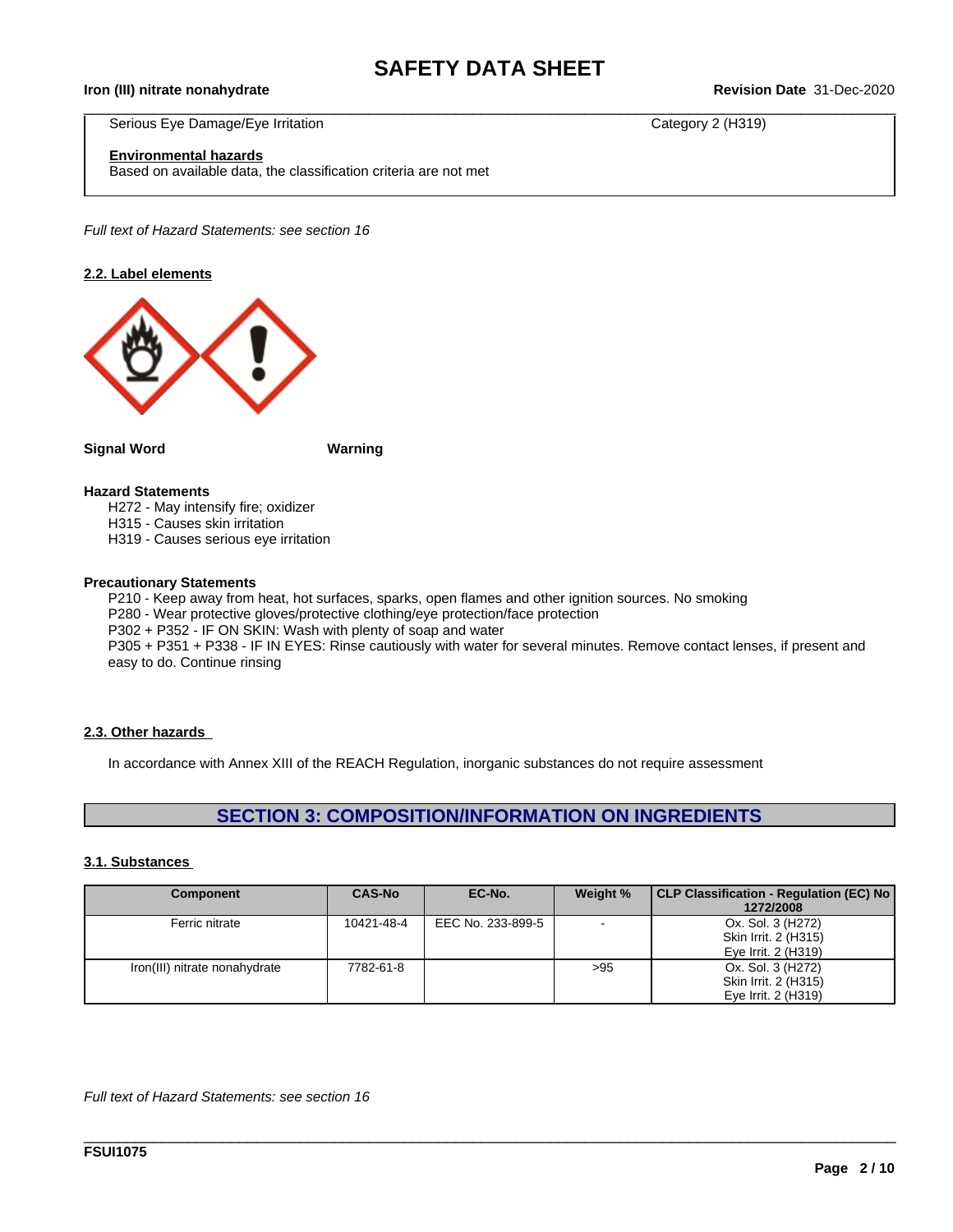$\_$  ,  $\_$  ,  $\_$  ,  $\_$  ,  $\_$  ,  $\_$  ,  $\_$  ,  $\_$  ,  $\_$  ,  $\_$  ,  $\_$  ,  $\_$  ,  $\_$  ,  $\_$  ,  $\_$  ,  $\_$  ,  $\_$  ,  $\_$  ,  $\_$  ,  $\_$  ,  $\_$  ,  $\_$  ,  $\_$  ,  $\_$  ,  $\_$  ,  $\_$  ,  $\_$  ,  $\_$  ,  $\_$  ,  $\_$  ,  $\_$  ,  $\_$  ,  $\_$  ,  $\_$  ,  $\_$  ,  $\_$  ,  $\_$  ,

**Iron (III) nitrate nonahydrate Revision Date** 31-Dec-2020

Serious Eye Damage/Eye Irritation Category 2 (H319)

#### **Environmental hazards**

Based on available data, the classification criteria are not met

*Full text of Hazard Statements: see section 16*

#### **2.2. Label elements**



**Signal Word Warning**

#### **Hazard Statements**

H272 - May intensify fire; oxidizer

H315 - Causes skin irritation

H319 - Causes serious eye irritation

#### **Precautionary Statements**

P210 - Keep away from heat, hot surfaces, sparks, open flames and other ignition sources. No smoking P280 - Wear protective gloves/protective clothing/eye protection/face protection P302 + P352 - IF ON SKIN: Wash with plenty of soap and water P305 + P351 + P338 - IF IN EYES: Rinse cautiously with water for several minutes. Remove contact lenses, if present and easy to do. Continue rinsing

#### **2.3. Other hazards**

In accordance with Annex XIII of the REACH Regulation, inorganic substances do not require assessment

### **SECTION 3: COMPOSITION/INFORMATION ON INGREDIENTS**

#### **3.1. Substances**

| <b>Component</b>              | <b>CAS-No</b> | EC-No.            | Weight % | CLP Classification - Regulation (EC) No |
|-------------------------------|---------------|-------------------|----------|-----------------------------------------|
|                               |               |                   |          | 1272/2008                               |
| Ferric nitrate                | 10421-48-4    | EEC No. 233-899-5 |          | Ox. Sol. 3 (H272)                       |
|                               |               |                   |          | Skin Irrit. 2 (H315)                    |
|                               |               |                   |          | Eye Irrit. 2 (H319)                     |
| Iron(III) nitrate nonahydrate | 7782-61-8     |                   | >95      | Ox. Sol. 3 (H272)                       |
|                               |               |                   |          | Skin Irrit. 2 (H315)                    |
|                               |               |                   |          | Eye Irrit. 2 (H319)                     |

\_\_\_\_\_\_\_\_\_\_\_\_\_\_\_\_\_\_\_\_\_\_\_\_\_\_\_\_\_\_\_\_\_\_\_\_\_\_\_\_\_\_\_\_\_\_\_\_\_\_\_\_\_\_\_\_\_\_\_\_\_\_\_\_\_\_\_\_\_\_\_\_\_\_\_\_\_\_\_\_\_\_\_\_\_\_\_\_\_\_\_\_\_\_

*Full text of Hazard Statements: see section 16*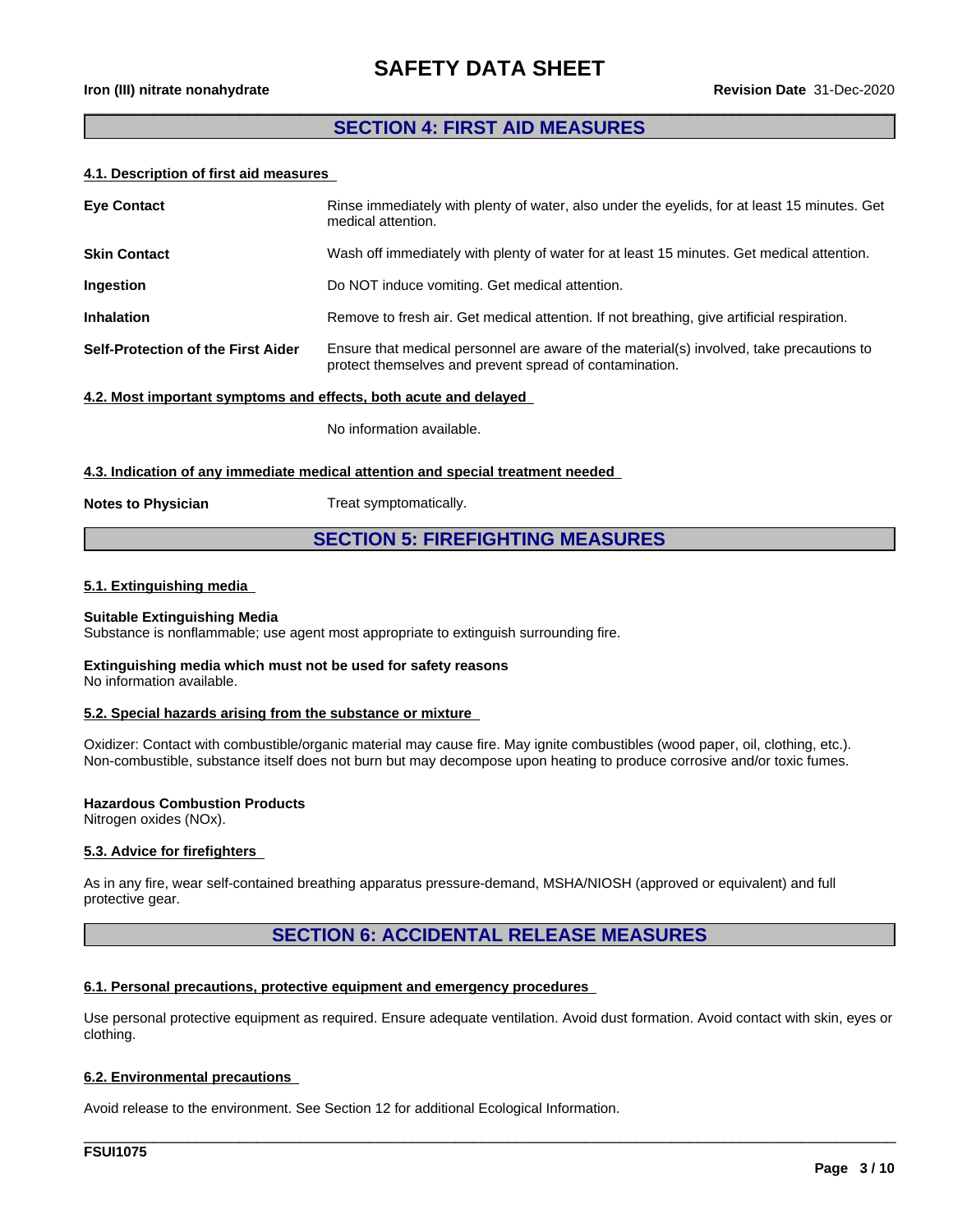#### **SECTION 4: FIRST AID MEASURES**

 $\overline{\phantom{a}}$  , and the contribution of the contribution of the contribution of the contribution of the contribution of the contribution of the contribution of the contribution of the contribution of the contribution of the

#### **4.1. Description of first aid measures**

| <b>Eye Contact</b>                 | Rinse immediately with plenty of water, also under the eyelids, for at least 15 minutes. Get<br>medical attention.                                  |
|------------------------------------|-----------------------------------------------------------------------------------------------------------------------------------------------------|
| <b>Skin Contact</b>                | Wash off immediately with plenty of water for at least 15 minutes. Get medical attention.                                                           |
| Ingestion                          | Do NOT induce vomiting. Get medical attention.                                                                                                      |
| <b>Inhalation</b>                  | Remove to fresh air. Get medical attention. If not breathing, give artificial respiration.                                                          |
| Self-Protection of the First Aider | Ensure that medical personnel are aware of the material(s) involved, take precautions to<br>protect themselves and prevent spread of contamination. |

#### **4.2. Most important symptoms and effects, both acute and delayed**

No information available.

#### **4.3. Indication of any immediate medical attention and special treatment needed**

**Notes to Physician** Treat symptomatically.

#### **SECTION 5: FIREFIGHTING MEASURES**

#### **5.1. Extinguishing media**

#### **Suitable Extinguishing Media**

Substance is nonflammable; use agent most appropriate to extinguish surrounding fire.

#### **Extinguishing media which must not be used for safety reasons** No information available.

### **5.2. Special hazards arising from the substance or mixture**

Oxidizer: Contact with combustible/organic material may cause fire. May ignite combustibles (wood paper, oil, clothing, etc.). Non-combustible, substance itself does not burn but may decompose upon heating to produce corrosive and/or toxic fumes.

#### **Hazardous Combustion Products**

Nitrogen oxides (NOx).

#### **5.3. Advice for firefighters**

As in any fire, wear self-contained breathing apparatus pressure-demand, MSHA/NIOSH (approved or equivalent) and full protective gear.

### **SECTION 6: ACCIDENTAL RELEASE MEASURES**

#### **6.1. Personal precautions, protective equipment and emergency procedures**

Use personal protective equipment as required. Ensure adequate ventilation. Avoid dust formation. Avoid contact with skin, eyes or clothing.

\_\_\_\_\_\_\_\_\_\_\_\_\_\_\_\_\_\_\_\_\_\_\_\_\_\_\_\_\_\_\_\_\_\_\_\_\_\_\_\_\_\_\_\_\_\_\_\_\_\_\_\_\_\_\_\_\_\_\_\_\_\_\_\_\_\_\_\_\_\_\_\_\_\_\_\_\_\_\_\_\_\_\_\_\_\_\_\_\_\_\_\_\_\_

#### **6.2. Environmental precautions**

Avoid release to the environment. See Section 12 for additional Ecological Information.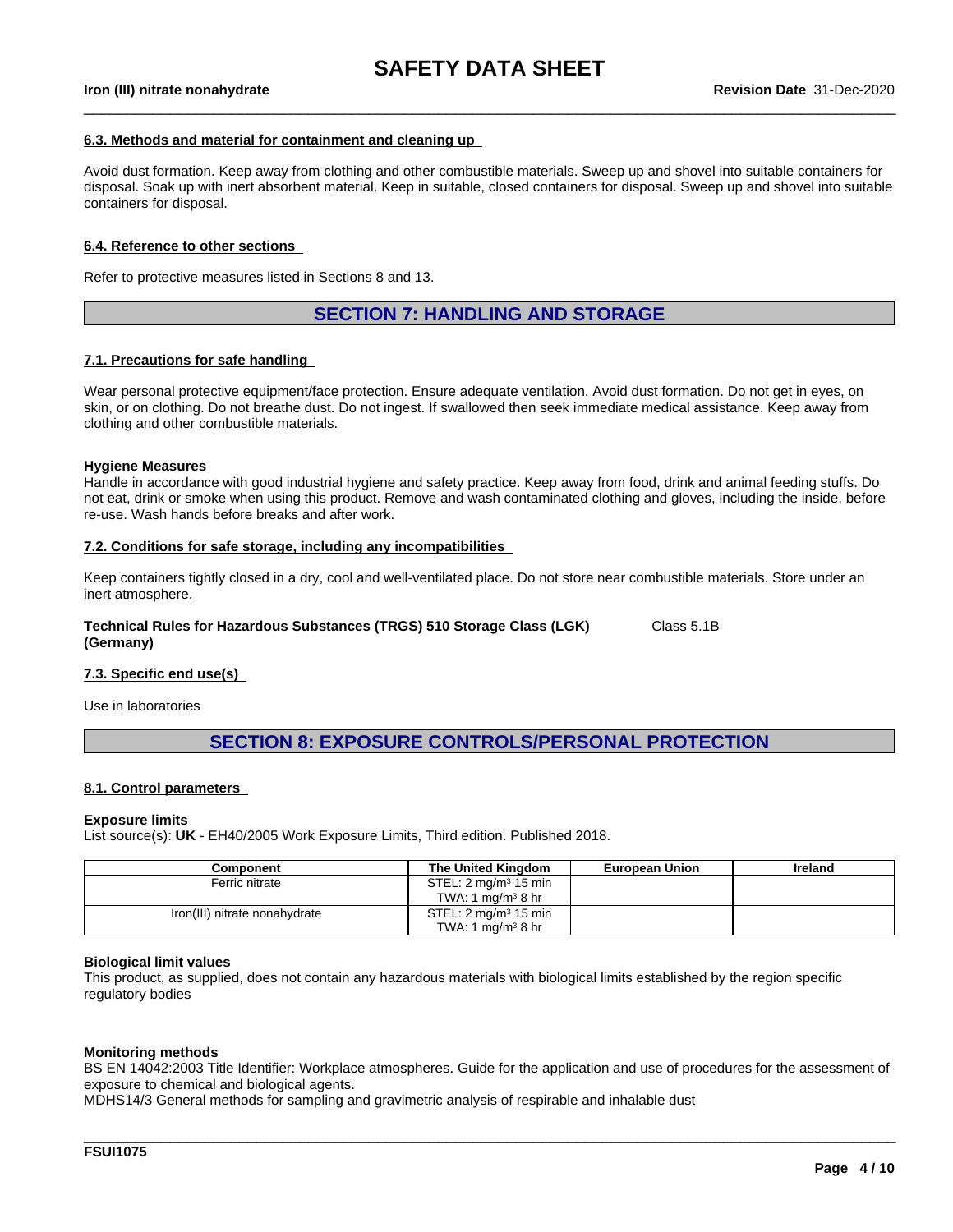$\_$  ,  $\_$  ,  $\_$  ,  $\_$  ,  $\_$  ,  $\_$  ,  $\_$  ,  $\_$  ,  $\_$  ,  $\_$  ,  $\_$  ,  $\_$  ,  $\_$  ,  $\_$  ,  $\_$  ,  $\_$  ,  $\_$  ,  $\_$  ,  $\_$  ,  $\_$  ,  $\_$  ,  $\_$  ,  $\_$  ,  $\_$  ,  $\_$  ,  $\_$  ,  $\_$  ,  $\_$  ,  $\_$  ,  $\_$  ,  $\_$  ,  $\_$  ,  $\_$  ,  $\_$  ,  $\_$  ,  $\_$  ,  $\_$  ,

#### **6.3. Methods and material for containment and cleaning up**

Avoid dust formation. Keep away from clothing and other combustible materials. Sweep up and shovel into suitable containers for disposal. Soak up with inert absorbent material. Keep in suitable, closed containers for disposal. Sweep up and shovel into suitable containers for disposal.

#### **6.4. Reference to other sections**

Refer to protective measures listed in Sections 8 and 13.

#### **SECTION 7: HANDLING AND STORAGE**

#### **7.1. Precautions for safe handling**

Wear personal protective equipment/face protection. Ensure adequate ventilation. Avoid dust formation. Do not get in eyes, on skin, or on clothing. Do not breathe dust. Do not ingest. If swallowed then seek immediate medical assistance. Keep away from clothing and other combustible materials.

#### **Hygiene Measures**

Handle in accordance with good industrial hygiene and safety practice. Keep away from food, drink and animal feeding stuffs. Do not eat, drink or smoke when using this product. Remove and wash contaminated clothing and gloves, including the inside, before re-use. Wash hands before breaks and after work.

#### **7.2. Conditions for safe storage, including any incompatibilities**

Keep containers tightly closed in a dry, cool and well-ventilated place. Do not store near combustible materials. Store under an inert atmosphere.

**Technical Rules for Hazardous Substances (TRGS) 510 Storage Class (LGK) (Germany)** Class 5.1B

#### **7.3. Specific end use(s)**

Use in laboratories

### **SECTION 8: EXPOSURE CONTROLS/PERSONAL PROTECTION**

#### **8.1. Control parameters**

#### **Exposure limits**

List source(s): **UK** - EH40/2005 Work Exposure Limits, Third edition. Published 2018.

| Component                     | The United Kinadom               | <b>European Union</b> | Ireland |
|-------------------------------|----------------------------------|-----------------------|---------|
| Ferric nitrate                | STEL: 2 mg/m <sup>3</sup> 15 min |                       |         |
|                               | TWA: 1 mg/m $3$ 8 hr             |                       |         |
| Iron(III) nitrate nonahydrate | STEL: $2 \text{ mg/m}^3$ 15 min  |                       |         |
|                               | TWA: 1 mg/m <sup>3</sup> 8 hr    |                       |         |

#### **Biological limit values**

This product, as supplied, does not contain any hazardous materials with biological limits established by the region specific regulatory bodies

#### **Monitoring methods**

BS EN 14042:2003 Title Identifier: Workplace atmospheres. Guide for the application and use of procedures for the assessment of exposure to chemical and biological agents.

\_\_\_\_\_\_\_\_\_\_\_\_\_\_\_\_\_\_\_\_\_\_\_\_\_\_\_\_\_\_\_\_\_\_\_\_\_\_\_\_\_\_\_\_\_\_\_\_\_\_\_\_\_\_\_\_\_\_\_\_\_\_\_\_\_\_\_\_\_\_\_\_\_\_\_\_\_\_\_\_\_\_\_\_\_\_\_\_\_\_\_\_\_\_

MDHS14/3 General methods for sampling and gravimetric analysis of respirable and inhalable dust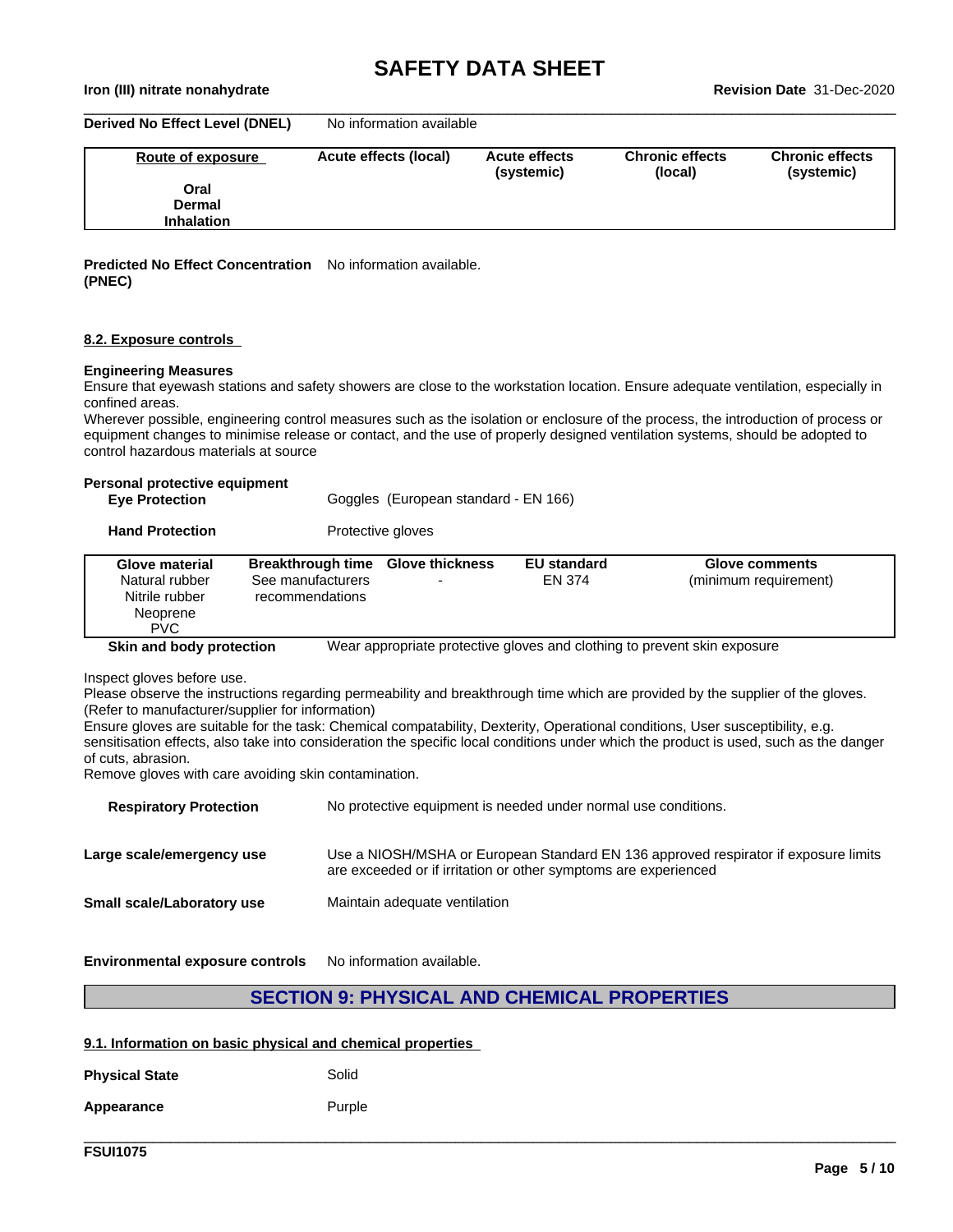$\_$  ,  $\_$  ,  $\_$  ,  $\_$  ,  $\_$  ,  $\_$  ,  $\_$  ,  $\_$  ,  $\_$  ,  $\_$  ,  $\_$  ,  $\_$  ,  $\_$  ,  $\_$  ,  $\_$  ,  $\_$  ,  $\_$  ,  $\_$  ,  $\_$  ,  $\_$  ,  $\_$  ,  $\_$  ,  $\_$  ,  $\_$  ,  $\_$  ,  $\_$  ,  $\_$  ,  $\_$  ,  $\_$  ,  $\_$  ,  $\_$  ,  $\_$  ,  $\_$  ,  $\_$  ,  $\_$  ,  $\_$  ,  $\_$  ,

**Iron (III) nitrate nonahydrate Revision Date** 31-Dec-2020

**Derived No Effect Level (DNEL)** No information available

| Route of exposure | Acute effects (local) | <b>Acute effects</b><br>(systemic) | <b>Chronic effects</b><br>(local) | <b>Chronic effects</b><br>(systemic) |
|-------------------|-----------------------|------------------------------------|-----------------------------------|--------------------------------------|
| Oral              |                       |                                    |                                   |                                      |
| <b>Dermal</b>     |                       |                                    |                                   |                                      |
| <b>Inhalation</b> |                       |                                    |                                   |                                      |

**Predicted No Effect Concentration** No information available. **(PNEC)**

#### **8.2. Exposure controls**

#### **Engineering Measures**

Ensure that eyewash stations and safety showers are close to the workstation location. Ensure adequate ventilation, especially in confined areas.

Wherever possible, engineering control measures such as the isolation or enclosure of the process, the introduction of process or equipment changes to minimise release or contact, and the use of properly designed ventilation systems, should be adopted to control hazardous materials at source

#### **Personal protective equipment**

| <b>Eye Protection</b> | Goggles (European standard - EN 166) |  |
|-----------------------|--------------------------------------|--|
|-----------------------|--------------------------------------|--|

**Hand Protection** Protective gloves

| <b>Glove material</b><br>Natural rubber<br>Nitrile rubber<br>Neoprene<br><b>PVC</b> | Breakthrough time Glove thickness<br>See manufacturers<br>recommendations | $\overline{\phantom{0}}$ | <b>EU standard</b><br>EN 374 | <b>Glove comments</b><br>(minimum requirement)                           |
|-------------------------------------------------------------------------------------|---------------------------------------------------------------------------|--------------------------|------------------------------|--------------------------------------------------------------------------|
| Skin and body protection                                                            |                                                                           |                          |                              | Wear appropriate protective gloves and clothing to prevent skin exposure |

Inspect gloves before use.

Please observe the instructions regarding permeability and breakthrough time which are provided by the supplier of the gloves. (Refer to manufacturer/supplier for information)

Ensure gloves are suitable for the task: Chemical compatability, Dexterity, Operational conditions, User susceptibility, e.g. sensitisation effects, also take into consideration the specific local conditions under which the product is used, such as the danger of cuts, abrasion.

Remove gloves with care avoiding skin contamination.

| <b>Respiratory Protection</b> | No protective equipment is needed under normal use conditions.                                                                                         |
|-------------------------------|--------------------------------------------------------------------------------------------------------------------------------------------------------|
| Large scale/emergency use     | Use a NIOSH/MSHA or European Standard EN 136 approved respirator if exposure limits<br>are exceeded or if irritation or other symptoms are experienced |
| Small scale/Laboratory use    | Maintain adequate ventilation                                                                                                                          |
|                               |                                                                                                                                                        |

**Environmental exposure controls** No information available.

### **SECTION 9: PHYSICAL AND CHEMICAL PROPERTIES**

\_\_\_\_\_\_\_\_\_\_\_\_\_\_\_\_\_\_\_\_\_\_\_\_\_\_\_\_\_\_\_\_\_\_\_\_\_\_\_\_\_\_\_\_\_\_\_\_\_\_\_\_\_\_\_\_\_\_\_\_\_\_\_\_\_\_\_\_\_\_\_\_\_\_\_\_\_\_\_\_\_\_\_\_\_\_\_\_\_\_\_\_\_\_

#### **9.1. Information on basic physical and chemical properties**

| <b>Physical State</b> | Solid  |
|-----------------------|--------|
| Appearance            | Purple |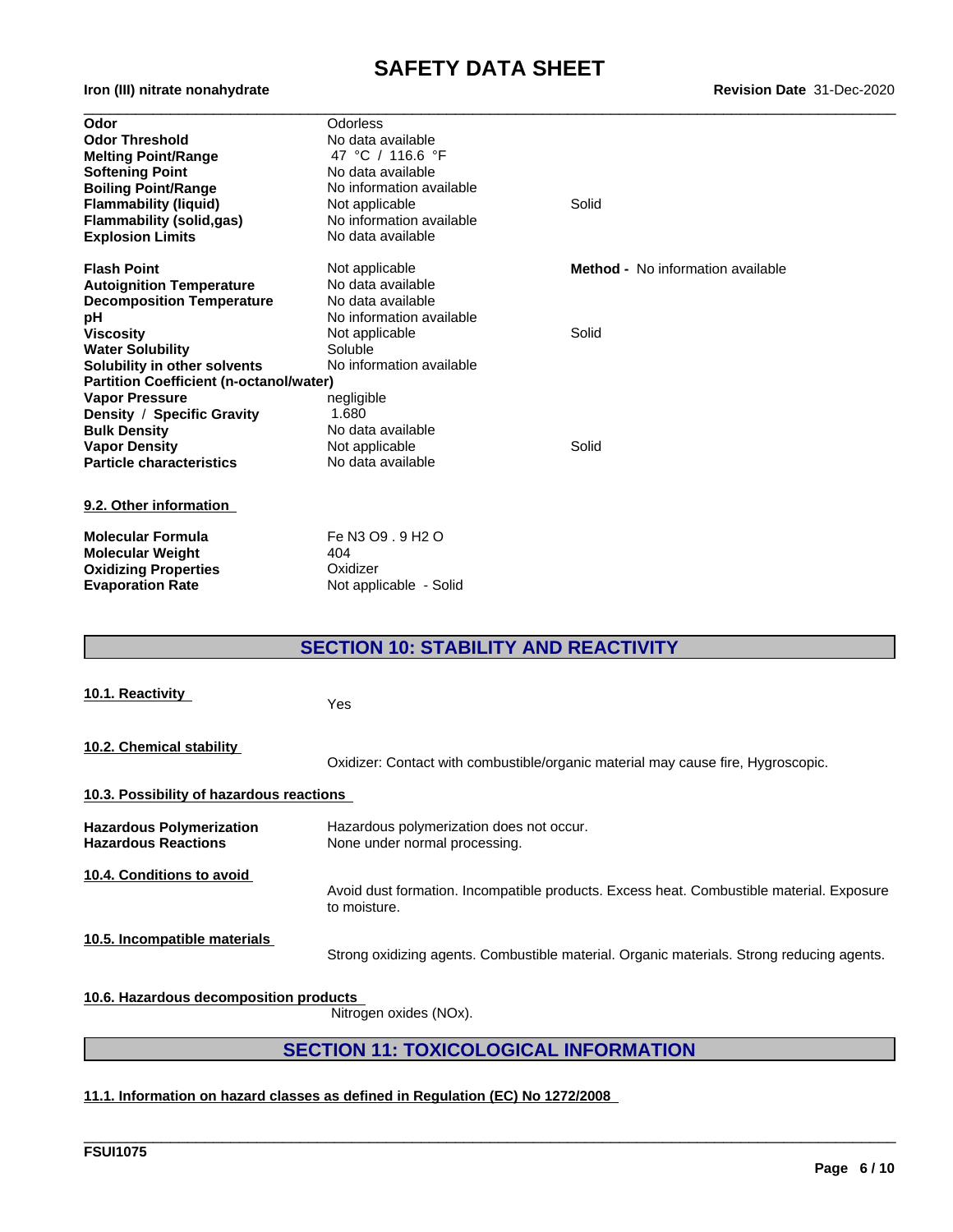# **SAFETY DATA SHEET**<br>Revision Date 31-Dec-2020

| Odor                                           | Odorless                 |                                          |
|------------------------------------------------|--------------------------|------------------------------------------|
| <b>Odor Threshold</b>                          | No data available        |                                          |
| <b>Melting Point/Range</b>                     | 47 °C / 116.6 °F         |                                          |
| <b>Softening Point</b>                         | No data available        |                                          |
| <b>Boiling Point/Range</b>                     | No information available |                                          |
| <b>Flammability (liquid)</b>                   | Not applicable           | Solid                                    |
| <b>Flammability (solid,gas)</b>                | No information available |                                          |
| <b>Explosion Limits</b>                        | No data available        |                                          |
| <b>Flash Point</b>                             | Not applicable           | <b>Method -</b> No information available |
| <b>Autoignition Temperature</b>                | No data available        |                                          |
| <b>Decomposition Temperature</b>               | No data available        |                                          |
| рH                                             | No information available |                                          |
| <b>Viscosity</b>                               | Not applicable           | Solid                                    |
| <b>Water Solubility</b>                        | Soluble                  |                                          |
| Solubility in other solvents                   | No information available |                                          |
| <b>Partition Coefficient (n-octanol/water)</b> |                          |                                          |
| <b>Vapor Pressure</b>                          | negligible               |                                          |
| Density / Specific Gravity                     | 1.680                    |                                          |
| <b>Bulk Density</b>                            | No data available        |                                          |
| <b>Vapor Density</b>                           | Not applicable           | Solid                                    |
| <b>Particle characteristics</b>                | No data available        |                                          |
| 9.2. Other information                         |                          |                                          |
| <b>Molecular Formula</b>                       | Fe N3 O9 . 9 H2 O        |                                          |
| <b>Molecular Weight</b>                        | 404                      |                                          |
| <b>Oxidizing Properties</b>                    | Oxidizer                 |                                          |
| <b>Evaporation Rate</b>                        | Not applicable - Solid   |                                          |

### **SECTION 10: STABILITY AND REACTIVITY**

| 10.1. Reactivity                                              | Yes                                                                                                      |
|---------------------------------------------------------------|----------------------------------------------------------------------------------------------------------|
| 10.2. Chemical stability                                      | Oxidizer: Contact with combustible/organic material may cause fire, Hygroscopic.                         |
| 10.3. Possibility of hazardous reactions                      |                                                                                                          |
| <b>Hazardous Polymerization</b><br><b>Hazardous Reactions</b> | Hazardous polymerization does not occur.<br>None under normal processing.                                |
| 10.4. Conditions to avoid                                     | Avoid dust formation. Incompatible products. Excess heat. Combustible material. Exposure<br>to moisture. |
| 10.5. Incompatible materials                                  | Strong oxidizing agents. Combustible material. Organic materials. Strong reducing agents.                |
| 10.6. Hazardous decomposition products                        |                                                                                                          |

Nitrogen oxides (NOx).

### **SECTION 11: TOXICOLOGICAL INFORMATION**

\_\_\_\_\_\_\_\_\_\_\_\_\_\_\_\_\_\_\_\_\_\_\_\_\_\_\_\_\_\_\_\_\_\_\_\_\_\_\_\_\_\_\_\_\_\_\_\_\_\_\_\_\_\_\_\_\_\_\_\_\_\_\_\_\_\_\_\_\_\_\_\_\_\_\_\_\_\_\_\_\_\_\_\_\_\_\_\_\_\_\_\_\_\_

### **11.1. Information on hazard classes as defined in Regulation (EC) No 1272/2008**

**Iron** (III) nitrate nonahydrate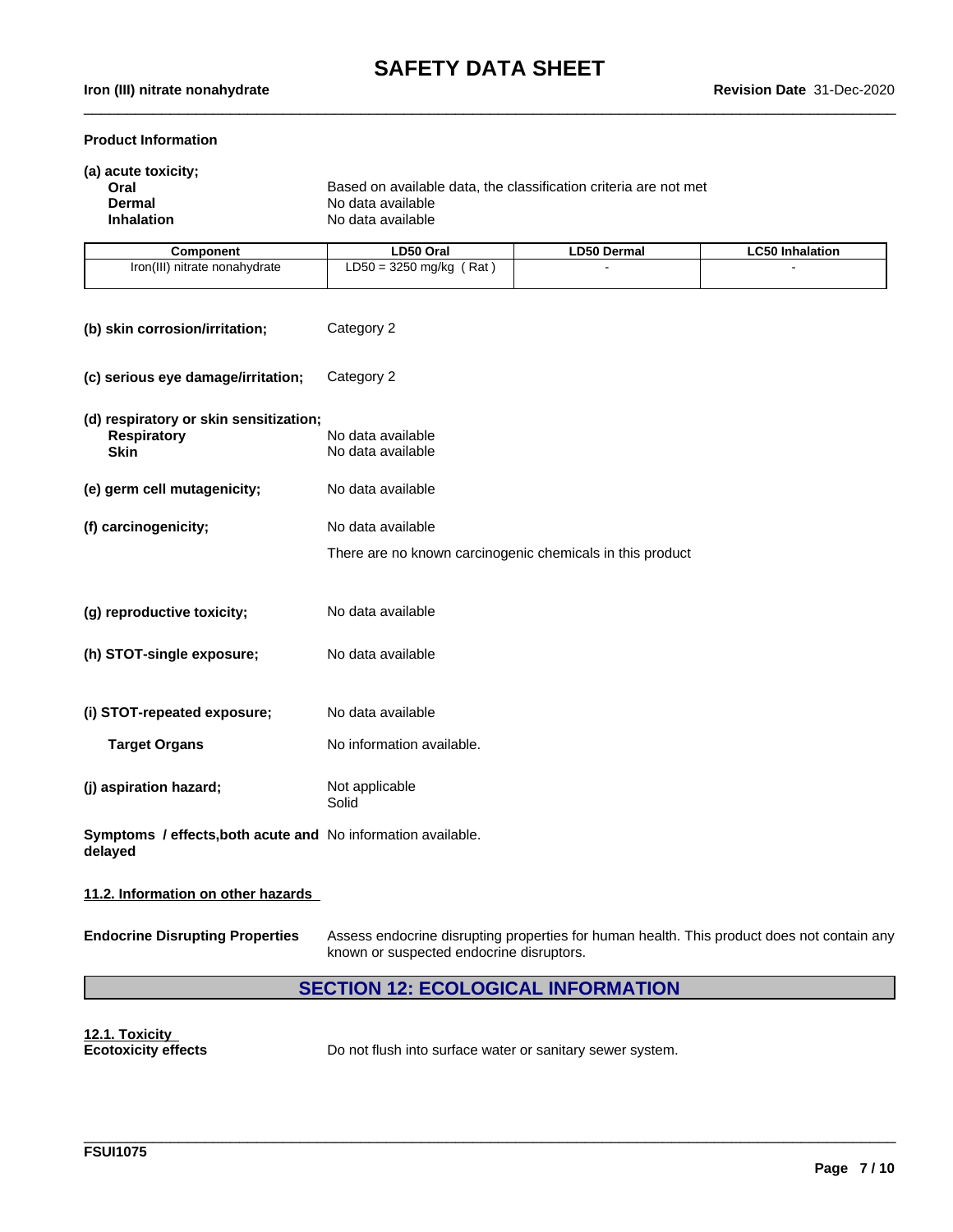$\_$  ,  $\_$  ,  $\_$  ,  $\_$  ,  $\_$  ,  $\_$  ,  $\_$  ,  $\_$  ,  $\_$  ,  $\_$  ,  $\_$  ,  $\_$  ,  $\_$  ,  $\_$  ,  $\_$  ,  $\_$  ,  $\_$  ,  $\_$  ,  $\_$  ,  $\_$  ,  $\_$  ,  $\_$  ,  $\_$  ,  $\_$  ,  $\_$  ,  $\_$  ,  $\_$  ,  $\_$  ,  $\_$  ,  $\_$  ,  $\_$  ,  $\_$  ,  $\_$  ,  $\_$  ,  $\_$  ,  $\_$  ,  $\_$  ,

#### **Product Information**

| (a) acute toxicity;<br>Oral<br>Dermal<br><b>Inhalation</b> | Based on available data, the classification criteria are not met<br>No data available<br>No data available |                          |                        |  |  |
|------------------------------------------------------------|------------------------------------------------------------------------------------------------------------|--------------------------|------------------------|--|--|
| <b>Component</b>                                           | LD50 Oral                                                                                                  | <b>LD50 Dermal</b>       | <b>LC50 Inhalation</b> |  |  |
| Iron(III) nitrate nonahydrate                              | $LD50 = 3250$ mg/kg (Rat)                                                                                  | $\overline{\phantom{a}}$ |                        |  |  |

| (b) skin corrosion/irritation;                                              | Category 2                                                                     |
|-----------------------------------------------------------------------------|--------------------------------------------------------------------------------|
| (c) serious eye damage/irritation;                                          | Category 2                                                                     |
| (d) respiratory or skin sensitization;<br><b>Respiratory</b><br><b>Skin</b> | No data available<br>No data available                                         |
| (e) germ cell mutagenicity;                                                 | No data available                                                              |
| (f) carcinogenicity;                                                        | No data available<br>There are no known carcinogenic chemicals in this product |
| (g) reproductive toxicity;                                                  | No data available                                                              |
| (h) STOT-single exposure;                                                   | No data available                                                              |
| (i) STOT-repeated exposure;                                                 | No data available                                                              |
| <b>Target Organs</b>                                                        | No information available.                                                      |
| (j) aspiration hazard;                                                      | Not applicable<br>Solid                                                        |
| Symptoms / effects, both acute and No information available.<br>delayed     |                                                                                |

#### **11.2. Information on other hazards**

**Endocrine Disrupting Properties** Assess endocrine disrupting properties for human health. This product does not contain any known or suspected endocrine disruptors.

\_\_\_\_\_\_\_\_\_\_\_\_\_\_\_\_\_\_\_\_\_\_\_\_\_\_\_\_\_\_\_\_\_\_\_\_\_\_\_\_\_\_\_\_\_\_\_\_\_\_\_\_\_\_\_\_\_\_\_\_\_\_\_\_\_\_\_\_\_\_\_\_\_\_\_\_\_\_\_\_\_\_\_\_\_\_\_\_\_\_\_\_\_\_

### **SECTION 12: ECOLOGICAL INFORMATION**

**12.1. Toxicity**

**Ecotoxicity effects** Do not flush into surface water or sanitary sewer system.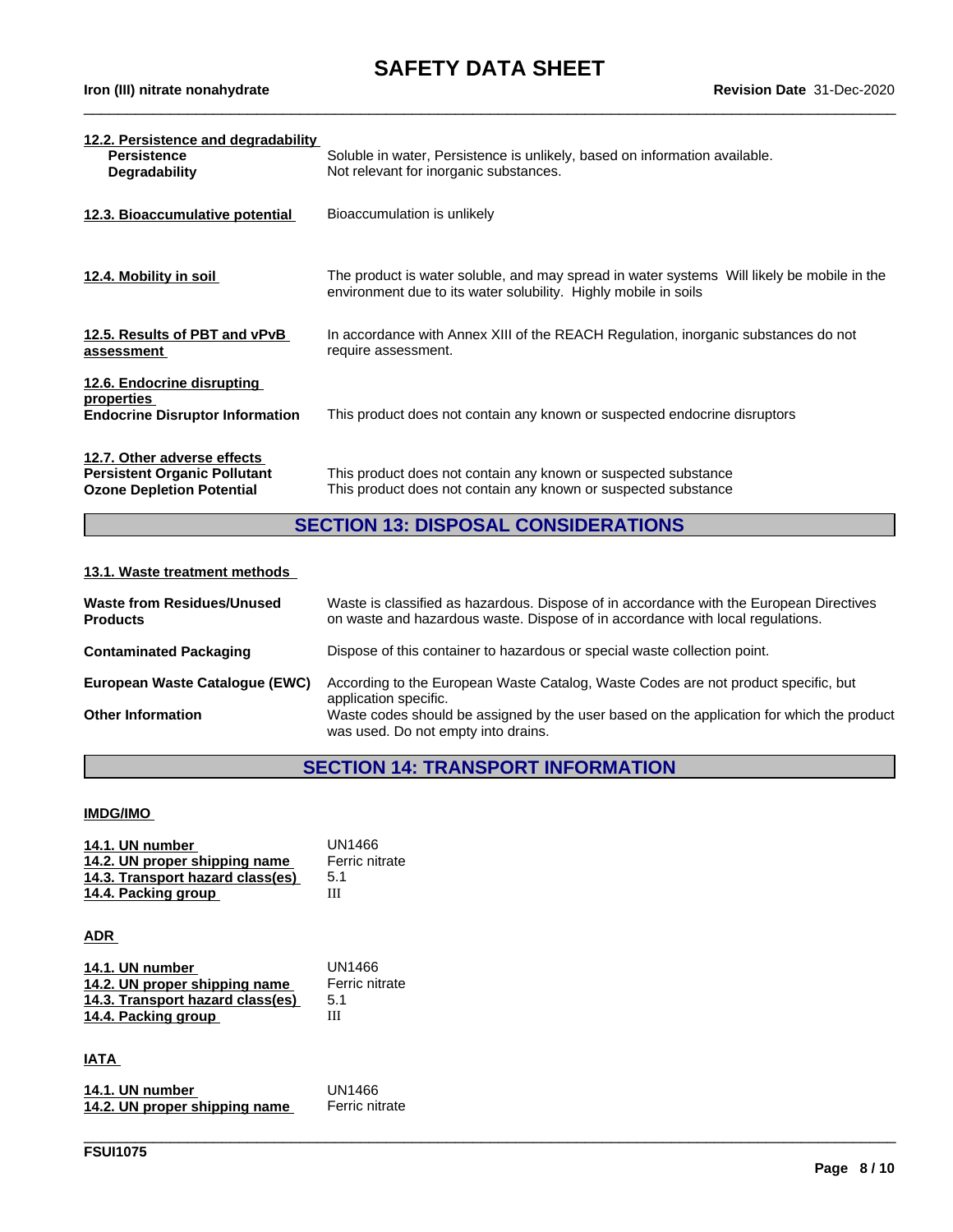$\_$  ,  $\_$  ,  $\_$  ,  $\_$  ,  $\_$  ,  $\_$  ,  $\_$  ,  $\_$  ,  $\_$  ,  $\_$  ,  $\_$  ,  $\_$  ,  $\_$  ,  $\_$  ,  $\_$  ,  $\_$  ,  $\_$  ,  $\_$  ,  $\_$  ,  $\_$  ,  $\_$  ,  $\_$  ,  $\_$  ,  $\_$  ,  $\_$  ,  $\_$  ,  $\_$  ,  $\_$  ,  $\_$  ,  $\_$  ,  $\_$  ,  $\_$  ,  $\_$  ,  $\_$  ,  $\_$  ,  $\_$  ,  $\_$  ,

| 12.2. Persistence and degradability<br><b>Persistence</b><br><b>Degradability</b>                      | Soluble in water, Persistence is unlikely, based on information available.<br>Not relevant for inorganic substances.                                          |
|--------------------------------------------------------------------------------------------------------|---------------------------------------------------------------------------------------------------------------------------------------------------------------|
| 12.3. Bioaccumulative potential                                                                        | Bioaccumulation is unlikely                                                                                                                                   |
| 12.4. Mobility in soil                                                                                 | The product is water soluble, and may spread in water systems Will likely be mobile in the<br>environment due to its water solubility. Highly mobile in soils |
| 12.5. Results of PBT and vPvB<br>assessment                                                            | In accordance with Annex XIII of the REACH Regulation, inorganic substances do not<br>require assessment.                                                     |
| 12.6. Endocrine disrupting<br>properties<br><b>Endocrine Disruptor Information</b>                     | This product does not contain any known or suspected endocrine disruptors                                                                                     |
| 12.7. Other adverse effects<br><b>Persistent Organic Pollutant</b><br><b>Ozone Depletion Potential</b> | This product does not contain any known or suspected substance<br>This product does not contain any known or suspected substance                              |

### **SECTION 13: DISPOSAL CONSIDERATIONS**

### **13.1. Waste treatment methods**

| <b>Waste from Residues/Unused</b><br><b>Products</b> | Waste is classified as hazardous. Dispose of in accordance with the European Directives<br>on waste and hazardous waste. Dispose of in accordance with local regulations. |
|------------------------------------------------------|---------------------------------------------------------------------------------------------------------------------------------------------------------------------------|
| <b>Contaminated Packaging</b>                        | Dispose of this container to hazardous or special waste collection point.                                                                                                 |
| European Waste Catalogue (EWC)                       | According to the European Waste Catalog, Waste Codes are not product specific, but<br>application specific.                                                               |
| <b>Other Information</b>                             | Waste codes should be assigned by the user based on the application for which the product<br>was used. Do not empty into drains.                                          |

## **SECTION 14: TRANSPORT INFORMATION**

\_\_\_\_\_\_\_\_\_\_\_\_\_\_\_\_\_\_\_\_\_\_\_\_\_\_\_\_\_\_\_\_\_\_\_\_\_\_\_\_\_\_\_\_\_\_\_\_\_\_\_\_\_\_\_\_\_\_\_\_\_\_\_\_\_\_\_\_\_\_\_\_\_\_\_\_\_\_\_\_\_\_\_\_\_\_\_\_\_\_\_\_\_\_

#### **IMDG/IMO**

| 14.1. UN number                  | UN1466         |
|----------------------------------|----------------|
| 14.2. UN proper shipping name    | Ferric nitrate |
| 14.3. Transport hazard class(es) | 5.1            |
| 14.4. Packing group              | Ш              |

#### **ADR**

| 14.1. UN number                  | UN1466         |
|----------------------------------|----------------|
| 14.2. UN proper shipping name    | Ferric nitrate |
| 14.3. Transport hazard class(es) | 5.1            |
| 14.4. Packing group              | Ш              |

#### **IATA**

| 14.1. UN number               | UN1466         |
|-------------------------------|----------------|
| 14.2. UN proper shipping name | Ferric nitrate |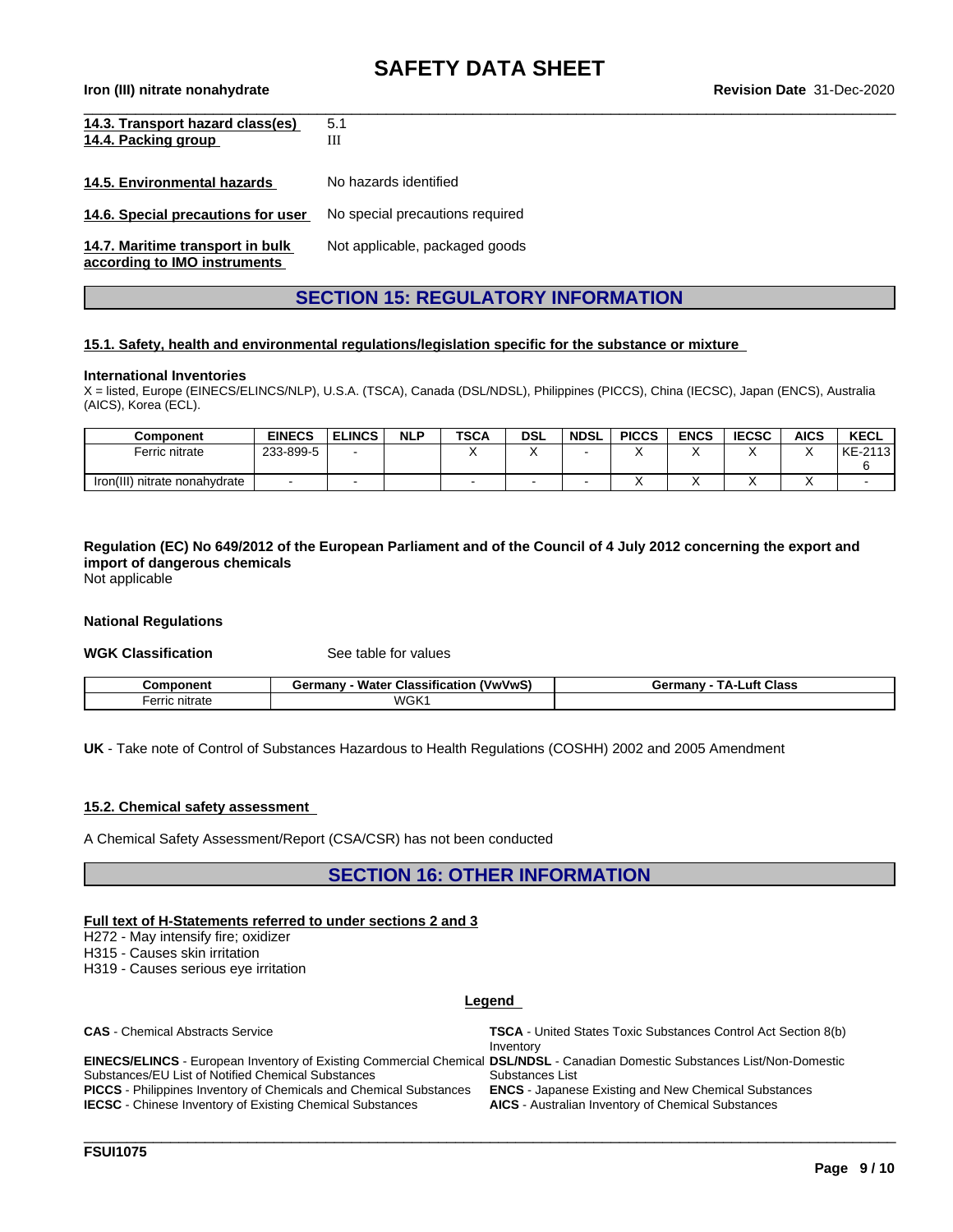**Iron (III) nitrate nonahydrate Revision Date** 31-Dec-2020

| 14.3. Transport hazard class(es)                                 | 5.1                             |
|------------------------------------------------------------------|---------------------------------|
| 14.4. Packing group                                              | Ш                               |
|                                                                  |                                 |
| 14.5. Environmental hazards                                      | No hazards identified           |
| 14.6. Special precautions for user                               | No special precautions required |
| 14.7. Maritime transport in bulk<br>according to IMO instruments | Not applicable, packaged goods  |

### **SECTION 15: REGULATORY INFORMATION**

#### **15.1. Safety, health and environmental regulations/legislation specific for the substance or mixture**

#### **International Inventories**

X = listed, Europe (EINECS/ELINCS/NLP), U.S.A. (TSCA), Canada (DSL/NDSL), Philippines (PICCS), China (IECSC), Japan (ENCS), Australia (AICS), Korea (ECL).

| <b>Component</b>                 | <b>EINECS</b> | <b>ELINCS</b> | <b>NLP</b> | <b>TSCA</b> | <b>DSL</b> | <b>NDSL</b> | <b>PICCS</b> | <b>ENCS</b> | <b>IECSC</b> | <b>AICS</b> | <b>KECL</b>      |
|----------------------------------|---------------|---------------|------------|-------------|------------|-------------|--------------|-------------|--------------|-------------|------------------|
| Ferric nitrate                   | 233-899-5     |               |            |             |            |             | . .          |             |              |             | $-2113$<br>KE-21 |
|                                  |               |               |            |             |            |             |              |             |              |             |                  |
| Iron(III)<br>nitrate nonahydrate |               |               |            |             |            |             |              |             |              |             |                  |

Regulation (EC) No 649/2012 of the European Parliament and of the Council of 4 July 2012 concerning the export and **import of dangerous chemicals**

Not applicable

#### **National Regulations**

**WGK Classification** See table for values

| :omnonent            | $\ddotsc$<br>Water<br>(VwVwS)<br>Germany<br><b>Classification</b> | тΔ.,<br>Class<br>⊥uft.<br>Germany |
|----------------------|-------------------------------------------------------------------|-----------------------------------|
| erric<br>'ıc nıtrate | WGK <sub>1</sub>                                                  |                                   |

**UK** - Take note of Control of Substances Hazardous to Health Regulations (COSHH) 2002 and 2005 Amendment

#### **15.2. Chemical safety assessment**

A Chemical Safety Assessment/Report (CSA/CSR) has not been conducted

**SECTION 16: OTHER INFORMATION**

#### **Full text of H-Statements referred to undersections 2 and 3**

H272 - May intensify fire; oxidizer

H315 - Causes skin irritation

H319 - Causes serious eye irritation

#### **Legend**

**CAS** - Chemical Abstracts Service **TSCA** - United States Toxic Substances Control Act Section 8(b) Inventory

**EINECS/ELINCS** - European Inventory of Existing Commercial Chemical **DSL/NDSL** - Canadian Domestic Substances List/Non-Domestic Substances/EU List of Notified Chemical Substances **PICCS** - Philippines Inventory of Chemicals and Chemical Substances **ENCS** - Japanese Existing and New Chemical Substances **IECSC** - Chinese Inventory of Existing Chemical Substances **AICS** - Australian Inventory of Chemical Substances

Substances List

\_\_\_\_\_\_\_\_\_\_\_\_\_\_\_\_\_\_\_\_\_\_\_\_\_\_\_\_\_\_\_\_\_\_\_\_\_\_\_\_\_\_\_\_\_\_\_\_\_\_\_\_\_\_\_\_\_\_\_\_\_\_\_\_\_\_\_\_\_\_\_\_\_\_\_\_\_\_\_\_\_\_\_\_\_\_\_\_\_\_\_\_\_\_